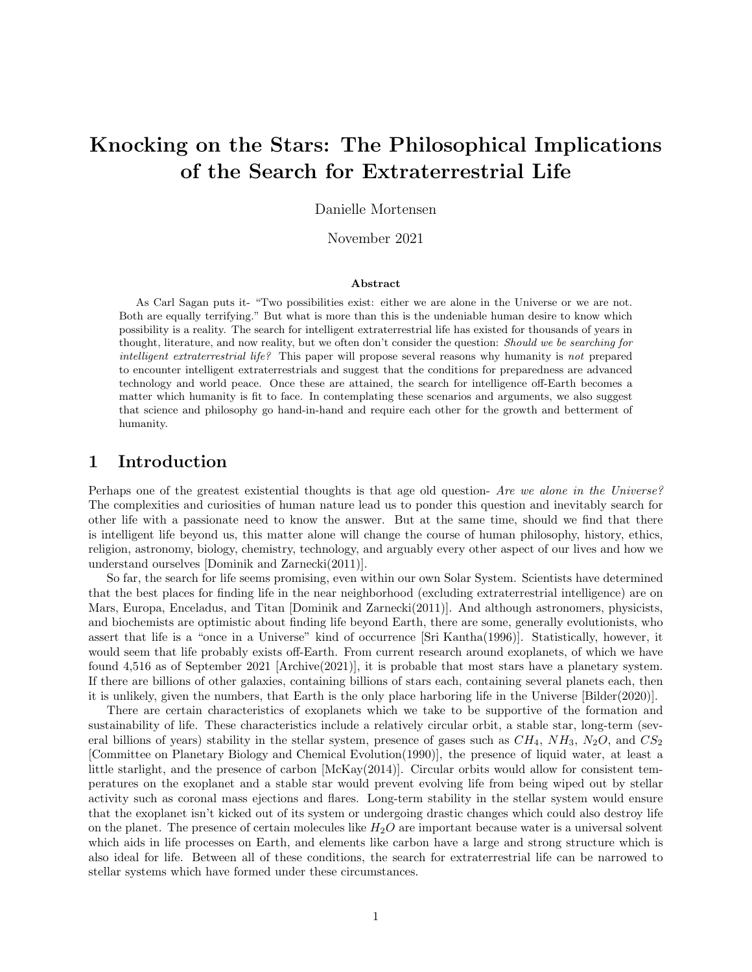# Knocking on the Stars: The Philosophical Implications of the Search for Extraterrestrial Life

Danielle Mortensen

November 2021

#### Abstract

As Carl Sagan puts it- "Two possibilities exist: either we are alone in the Universe or we are not. Both are equally terrifying." But what is more than this is the undeniable human desire to know which possibility is a reality. The search for intelligent extraterrestrial life has existed for thousands of years in thought, literature, and now reality, but we often don't consider the question: Should we be searching for intelligent extraterrestrial life? This paper will propose several reasons why humanity is not prepared to encounter intelligent extraterrestrials and suggest that the conditions for preparedness are advanced technology and world peace. Once these are attained, the search for intelligence off-Earth becomes a matter which humanity is fit to face. In contemplating these scenarios and arguments, we also suggest that science and philosophy go hand-in-hand and require each other for the growth and betterment of humanity.

### 1 Introduction

Perhaps one of the greatest existential thoughts is that age old question- Are we alone in the Universe? The complexities and curiosities of human nature lead us to ponder this question and inevitably search for other life with a passionate need to know the answer. But at the same time, should we find that there is intelligent life beyond us, this matter alone will change the course of human philosophy, history, ethics, religion, astronomy, biology, chemistry, technology, and arguably every other aspect of our lives and how we understand ourselves [Dominik and Zarnecki(2011)].

So far, the search for life seems promising, even within our own Solar System. Scientists have determined that the best places for finding life in the near neighborhood (excluding extraterrestrial intelligence) are on Mars, Europa, Enceladus, and Titan [Dominik and Zarnecki(2011)]. And although astronomers, physicists, and biochemists are optimistic about finding life beyond Earth, there are some, generally evolutionists, who assert that life is a "once in a Universe" kind of occurrence [Sri Kantha(1996)]. Statistically, however, it would seem that life probably exists off-Earth. From current research around exoplanets, of which we have found 4,516 as of September 2021 [Archive(2021)], it is probable that most stars have a planetary system. If there are billions of other galaxies, containing billions of stars each, containing several planets each, then it is unlikely, given the numbers, that Earth is the only place harboring life in the Universe [Bilder(2020)].

There are certain characteristics of exoplanets which we take to be supportive of the formation and sustainability of life. These characteristics include a relatively circular orbit, a stable star, long-term (several billions of years) stability in the stellar system, presence of gases such as  $CH_4$ ,  $NH_3$ ,  $N_2O$ , and  $CS_2$ [Committee on Planetary Biology and Chemical Evolution(1990)], the presence of liquid water, at least a little starlight, and the presence of carbon [McKay(2014)]. Circular orbits would allow for consistent temperatures on the exoplanet and a stable star would prevent evolving life from being wiped out by stellar activity such as coronal mass ejections and flares. Long-term stability in the stellar system would ensure that the exoplanet isn't kicked out of its system or undergoing drastic changes which could also destroy life on the planet. The presence of certain molecules like  $H_2O$  are important because water is a universal solvent which aids in life processes on Earth, and elements like carbon have a large and strong structure which is also ideal for life. Between all of these conditions, the search for extraterrestrial life can be narrowed to stellar systems which have formed under these circumstances.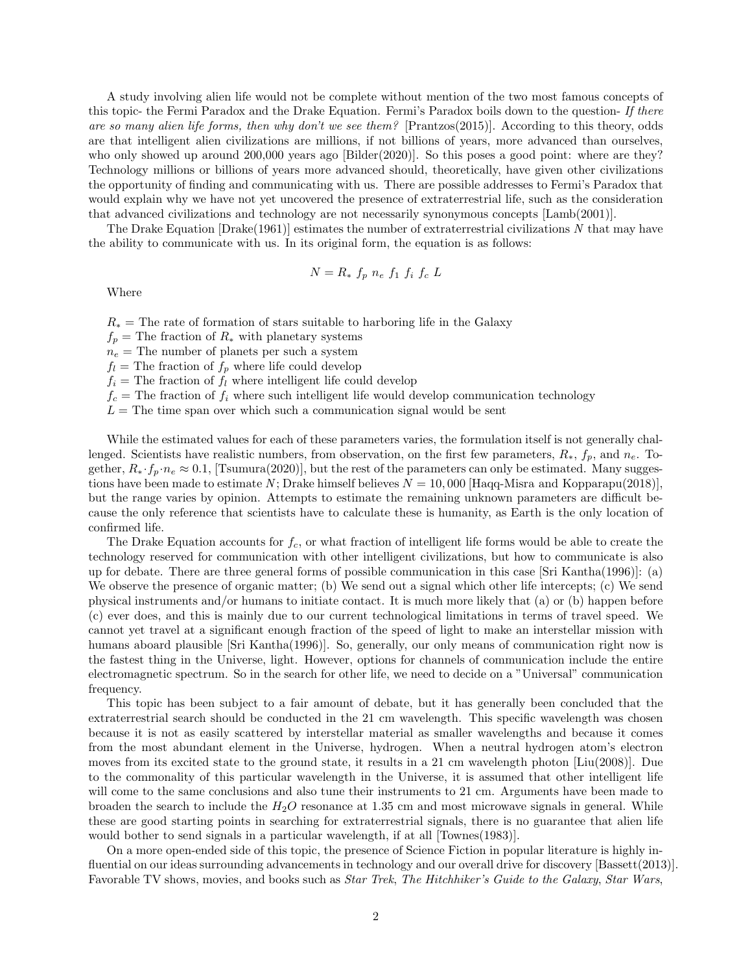A study involving alien life would not be complete without mention of the two most famous concepts of this topic- the Fermi Paradox and the Drake Equation. Fermi's Paradox boils down to the question- If there are so many alien life forms, then why don't we see them? [Prantzos(2015)]. According to this theory, odds are that intelligent alien civilizations are millions, if not billions of years, more advanced than ourselves, who only showed up around 200,000 years ago [Bilder(2020)]. So this poses a good point: where are they? Technology millions or billions of years more advanced should, theoretically, have given other civilizations the opportunity of finding and communicating with us. There are possible addresses to Fermi's Paradox that would explain why we have not yet uncovered the presence of extraterrestrial life, such as the consideration that advanced civilizations and technology are not necessarily synonymous concepts [Lamb(2001)].

The Drake Equation  $[Drake(1961)]$  estimates the number of extraterrestrial civilizations N that may have the ability to communicate with us. In its original form, the equation is as follows:

$$
N = R_* f_p n_e f_1 f_i f_c L
$$

Where

 $R_*$  = The rate of formation of stars suitable to harboring life in the Galaxy

 $f_p$  = The fraction of  $R_*$  with planetary systems

 $n_e$  = The number of planets per such a system

 $f_l$  = The fraction of  $f_p$  where life could develop

 $f_i$  = The fraction of  $f_i$  where intelligent life could develop

 $f_c$  = The fraction of  $f_i$  where such intelligent life would develop communication technology

 $L =$ The time span over which such a communication signal would be sent

While the estimated values for each of these parameters varies, the formulation itself is not generally challenged. Scientists have realistic numbers, from observation, on the first few parameters,  $R_*, f_p$ , and  $n_e$ . Together,  $R_* \cdot f_p \cdot n_e \approx 0.1$ , [Tsumura(2020)], but the rest of the parameters can only be estimated. Many suggestions have been made to estimate N; Drake himself believes  $N = 10,000$  [Haqq-Misra and Kopparapu(2018)], but the range varies by opinion. Attempts to estimate the remaining unknown parameters are difficult because the only reference that scientists have to calculate these is humanity, as Earth is the only location of confirmed life.

The Drake Equation accounts for  $f_c$ , or what fraction of intelligent life forms would be able to create the technology reserved for communication with other intelligent civilizations, but how to communicate is also up for debate. There are three general forms of possible communication in this case [Sri Kantha(1996)]: (a) We observe the presence of organic matter; (b) We send out a signal which other life intercepts; (c) We send physical instruments and/or humans to initiate contact. It is much more likely that (a) or (b) happen before (c) ever does, and this is mainly due to our current technological limitations in terms of travel speed. We cannot yet travel at a significant enough fraction of the speed of light to make an interstellar mission with humans aboard plausible [Sri Kantha(1996)]. So, generally, our only means of communication right now is the fastest thing in the Universe, light. However, options for channels of communication include the entire electromagnetic spectrum. So in the search for other life, we need to decide on a "Universal" communication frequency.

This topic has been subject to a fair amount of debate, but it has generally been concluded that the extraterrestrial search should be conducted in the 21 cm wavelength. This specific wavelength was chosen because it is not as easily scattered by interstellar material as smaller wavelengths and because it comes from the most abundant element in the Universe, hydrogen. When a neutral hydrogen atom's electron moves from its excited state to the ground state, it results in a 21 cm wavelength photon [Liu(2008)]. Due to the commonality of this particular wavelength in the Universe, it is assumed that other intelligent life will come to the same conclusions and also tune their instruments to 21 cm. Arguments have been made to broaden the search to include the  $H_2O$  resonance at 1.35 cm and most microwave signals in general. While these are good starting points in searching for extraterrestrial signals, there is no guarantee that alien life would bother to send signals in a particular wavelength, if at all [Townes(1983)].

On a more open-ended side of this topic, the presence of Science Fiction in popular literature is highly influential on our ideas surrounding advancements in technology and our overall drive for discovery [Bassett(2013)]. Favorable TV shows, movies, and books such as Star Trek, The Hitchhiker's Guide to the Galaxy, Star Wars,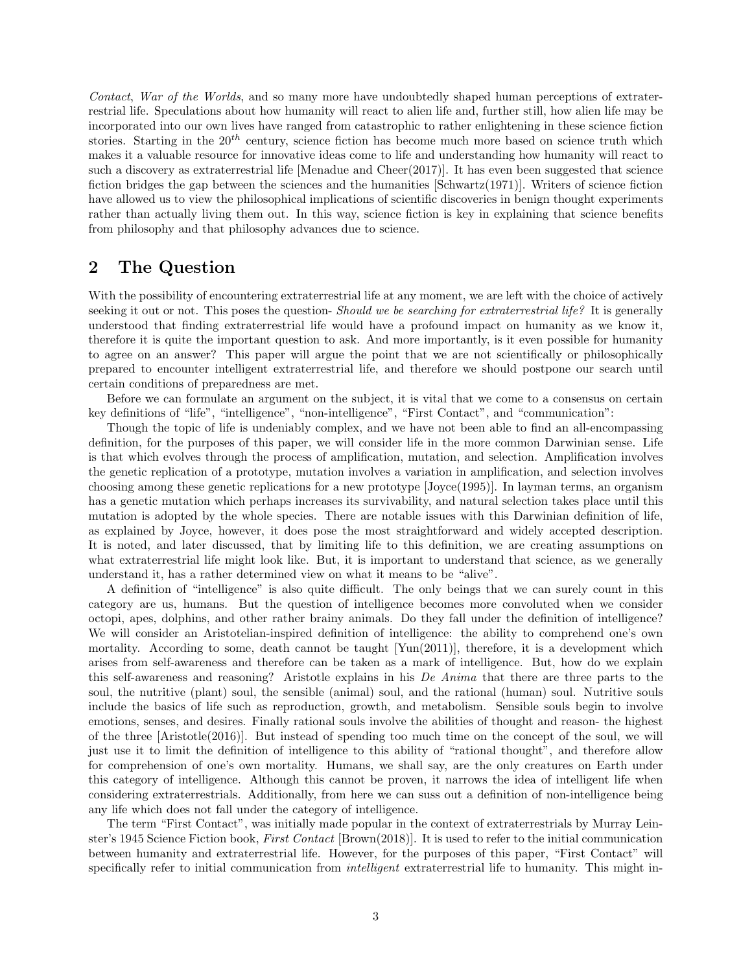Contact, War of the Worlds, and so many more have undoubtedly shaped human perceptions of extraterrestrial life. Speculations about how humanity will react to alien life and, further still, how alien life may be incorporated into our own lives have ranged from catastrophic to rather enlightening in these science fiction stories. Starting in the  $20<sup>th</sup>$  century, science fiction has become much more based on science truth which makes it a valuable resource for innovative ideas come to life and understanding how humanity will react to such a discovery as extraterrestrial life [Menadue and Cheer(2017)]. It has even been suggested that science fiction bridges the gap between the sciences and the humanities  $[Schwartz(1971)]$ . Writers of science fiction have allowed us to view the philosophical implications of scientific discoveries in benign thought experiments rather than actually living them out. In this way, science fiction is key in explaining that science benefits from philosophy and that philosophy advances due to science.

### 2 The Question

With the possibility of encountering extraterrestrial life at any moment, we are left with the choice of actively seeking it out or not. This poses the question- Should we be searching for extraterrestrial life? It is generally understood that finding extraterrestrial life would have a profound impact on humanity as we know it, therefore it is quite the important question to ask. And more importantly, is it even possible for humanity to agree on an answer? This paper will argue the point that we are not scientifically or philosophically prepared to encounter intelligent extraterrestrial life, and therefore we should postpone our search until certain conditions of preparedness are met.

Before we can formulate an argument on the subject, it is vital that we come to a consensus on certain key definitions of "life", "intelligence", "non-intelligence", "First Contact", and "communication":

Though the topic of life is undeniably complex, and we have not been able to find an all-encompassing definition, for the purposes of this paper, we will consider life in the more common Darwinian sense. Life is that which evolves through the process of amplification, mutation, and selection. Amplification involves the genetic replication of a prototype, mutation involves a variation in amplification, and selection involves choosing among these genetic replications for a new prototype [Joyce(1995)]. In layman terms, an organism has a genetic mutation which perhaps increases its survivability, and natural selection takes place until this mutation is adopted by the whole species. There are notable issues with this Darwinian definition of life, as explained by Joyce, however, it does pose the most straightforward and widely accepted description. It is noted, and later discussed, that by limiting life to this definition, we are creating assumptions on what extraterrestrial life might look like. But, it is important to understand that science, as we generally understand it, has a rather determined view on what it means to be "alive".

A definition of "intelligence" is also quite difficult. The only beings that we can surely count in this category are us, humans. But the question of intelligence becomes more convoluted when we consider octopi, apes, dolphins, and other rather brainy animals. Do they fall under the definition of intelligence? We will consider an Aristotelian-inspired definition of intelligence: the ability to comprehend one's own mortality. According to some, death cannot be taught [Yun(2011)], therefore, it is a development which arises from self-awareness and therefore can be taken as a mark of intelligence. But, how do we explain this self-awareness and reasoning? Aristotle explains in his De Anima that there are three parts to the soul, the nutritive (plant) soul, the sensible (animal) soul, and the rational (human) soul. Nutritive souls include the basics of life such as reproduction, growth, and metabolism. Sensible souls begin to involve emotions, senses, and desires. Finally rational souls involve the abilities of thought and reason- the highest of the three [Aristotle(2016)]. But instead of spending too much time on the concept of the soul, we will just use it to limit the definition of intelligence to this ability of "rational thought", and therefore allow for comprehension of one's own mortality. Humans, we shall say, are the only creatures on Earth under this category of intelligence. Although this cannot be proven, it narrows the idea of intelligent life when considering extraterrestrials. Additionally, from here we can suss out a definition of non-intelligence being any life which does not fall under the category of intelligence.

The term "First Contact", was initially made popular in the context of extraterrestrials by Murray Leinster's 1945 Science Fiction book, First Contact [Brown(2018)]. It is used to refer to the initial communication between humanity and extraterrestrial life. However, for the purposes of this paper, "First Contact" will specifically refer to initial communication from *intelligent* extraterrestrial life to humanity. This might in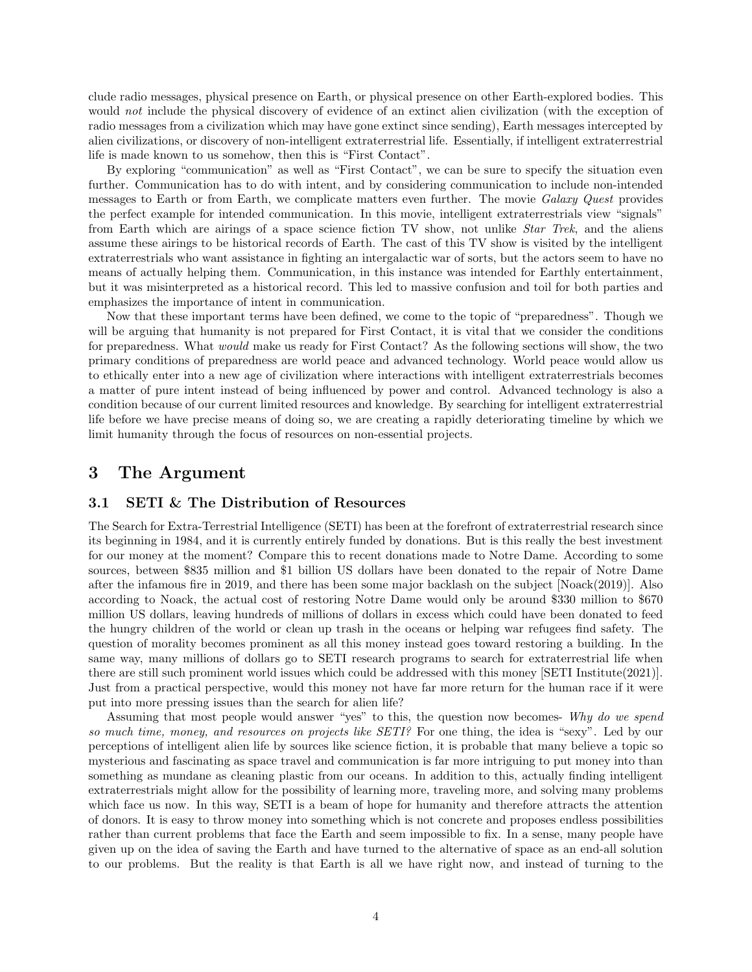clude radio messages, physical presence on Earth, or physical presence on other Earth-explored bodies. This would not include the physical discovery of evidence of an extinct alien civilization (with the exception of radio messages from a civilization which may have gone extinct since sending), Earth messages intercepted by alien civilizations, or discovery of non-intelligent extraterrestrial life. Essentially, if intelligent extraterrestrial life is made known to us somehow, then this is "First Contact".

By exploring "communication" as well as "First Contact", we can be sure to specify the situation even further. Communication has to do with intent, and by considering communication to include non-intended messages to Earth or from Earth, we complicate matters even further. The movie Galaxy Quest provides the perfect example for intended communication. In this movie, intelligent extraterrestrials view "signals" from Earth which are airings of a space science fiction TV show, not unlike *Star Trek*, and the aliens assume these airings to be historical records of Earth. The cast of this TV show is visited by the intelligent extraterrestrials who want assistance in fighting an intergalactic war of sorts, but the actors seem to have no means of actually helping them. Communication, in this instance was intended for Earthly entertainment, but it was misinterpreted as a historical record. This led to massive confusion and toil for both parties and emphasizes the importance of intent in communication.

Now that these important terms have been defined, we come to the topic of "preparedness". Though we will be arguing that humanity is not prepared for First Contact, it is vital that we consider the conditions for preparedness. What would make us ready for First Contact? As the following sections will show, the two primary conditions of preparedness are world peace and advanced technology. World peace would allow us to ethically enter into a new age of civilization where interactions with intelligent extraterrestrials becomes a matter of pure intent instead of being influenced by power and control. Advanced technology is also a condition because of our current limited resources and knowledge. By searching for intelligent extraterrestrial life before we have precise means of doing so, we are creating a rapidly deteriorating timeline by which we limit humanity through the focus of resources on non-essential projects.

### 3 The Argument

#### 3.1 SETI & The Distribution of Resources

The Search for Extra-Terrestrial Intelligence (SETI) has been at the forefront of extraterrestrial research since its beginning in 1984, and it is currently entirely funded by donations. But is this really the best investment for our money at the moment? Compare this to recent donations made to Notre Dame. According to some sources, between \$835 million and \$1 billion US dollars have been donated to the repair of Notre Dame after the infamous fire in 2019, and there has been some major backlash on the subject [Noack(2019)]. Also according to Noack, the actual cost of restoring Notre Dame would only be around \$330 million to \$670 million US dollars, leaving hundreds of millions of dollars in excess which could have been donated to feed the hungry children of the world or clean up trash in the oceans or helping war refugees find safety. The question of morality becomes prominent as all this money instead goes toward restoring a building. In the same way, many millions of dollars go to SETI research programs to search for extraterrestrial life when there are still such prominent world issues which could be addressed with this money [SETI Institute(2021)]. Just from a practical perspective, would this money not have far more return for the human race if it were put into more pressing issues than the search for alien life?

Assuming that most people would answer "yes" to this, the question now becomes- Why do we spend so much time, money, and resources on projects like SETI? For one thing, the idea is "sexy". Led by our perceptions of intelligent alien life by sources like science fiction, it is probable that many believe a topic so mysterious and fascinating as space travel and communication is far more intriguing to put money into than something as mundane as cleaning plastic from our oceans. In addition to this, actually finding intelligent extraterrestrials might allow for the possibility of learning more, traveling more, and solving many problems which face us now. In this way, SETI is a beam of hope for humanity and therefore attracts the attention of donors. It is easy to throw money into something which is not concrete and proposes endless possibilities rather than current problems that face the Earth and seem impossible to fix. In a sense, many people have given up on the idea of saving the Earth and have turned to the alternative of space as an end-all solution to our problems. But the reality is that Earth is all we have right now, and instead of turning to the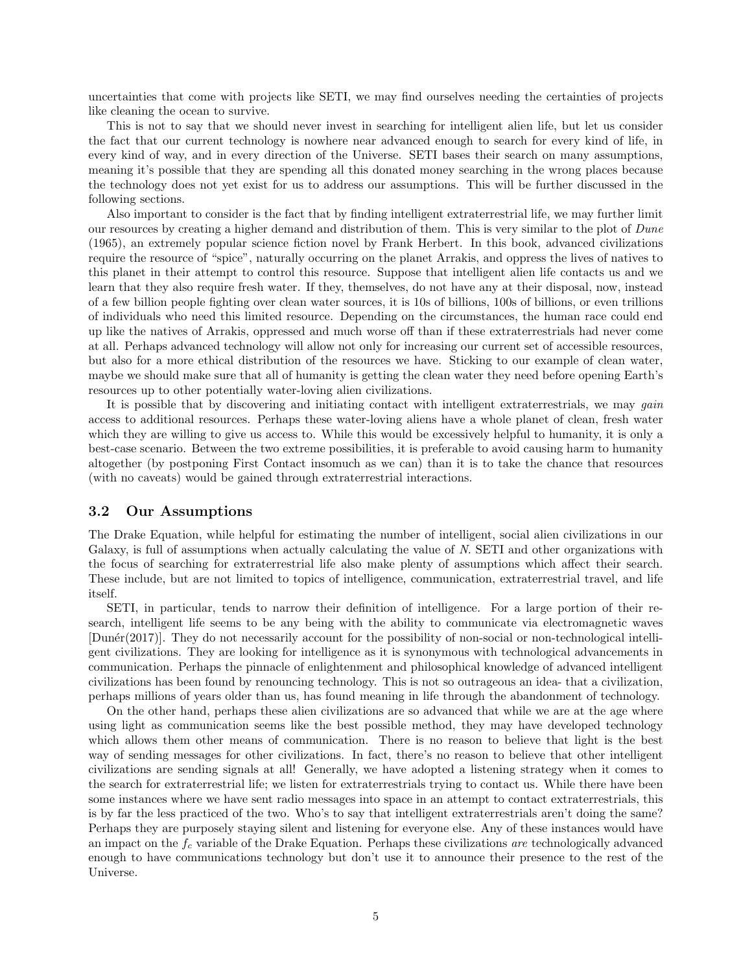uncertainties that come with projects like SETI, we may find ourselves needing the certainties of projects like cleaning the ocean to survive.

This is not to say that we should never invest in searching for intelligent alien life, but let us consider the fact that our current technology is nowhere near advanced enough to search for every kind of life, in every kind of way, and in every direction of the Universe. SETI bases their search on many assumptions, meaning it's possible that they are spending all this donated money searching in the wrong places because the technology does not yet exist for us to address our assumptions. This will be further discussed in the following sections.

Also important to consider is the fact that by finding intelligent extraterrestrial life, we may further limit our resources by creating a higher demand and distribution of them. This is very similar to the plot of Dune (1965), an extremely popular science fiction novel by Frank Herbert. In this book, advanced civilizations require the resource of "spice", naturally occurring on the planet Arrakis, and oppress the lives of natives to this planet in their attempt to control this resource. Suppose that intelligent alien life contacts us and we learn that they also require fresh water. If they, themselves, do not have any at their disposal, now, instead of a few billion people fighting over clean water sources, it is 10s of billions, 100s of billions, or even trillions of individuals who need this limited resource. Depending on the circumstances, the human race could end up like the natives of Arrakis, oppressed and much worse off than if these extraterrestrials had never come at all. Perhaps advanced technology will allow not only for increasing our current set of accessible resources, but also for a more ethical distribution of the resources we have. Sticking to our example of clean water, maybe we should make sure that all of humanity is getting the clean water they need before opening Earth's resources up to other potentially water-loving alien civilizations.

It is possible that by discovering and initiating contact with intelligent extraterrestrials, we may *qain* access to additional resources. Perhaps these water-loving aliens have a whole planet of clean, fresh water which they are willing to give us access to. While this would be excessively helpful to humanity, it is only a best-case scenario. Between the two extreme possibilities, it is preferable to avoid causing harm to humanity altogether (by postponing First Contact insomuch as we can) than it is to take the chance that resources (with no caveats) would be gained through extraterrestrial interactions.

#### 3.2 Our Assumptions

The Drake Equation, while helpful for estimating the number of intelligent, social alien civilizations in our Galaxy, is full of assumptions when actually calculating the value of N. SETI and other organizations with the focus of searching for extraterrestrial life also make plenty of assumptions which affect their search. These include, but are not limited to topics of intelligence, communication, extraterrestrial travel, and life itself.

SETI, in particular, tends to narrow their definition of intelligence. For a large portion of their research, intelligent life seems to be any being with the ability to communicate via electromagnetic waves [Dun´er(2017)]. They do not necessarily account for the possibility of non-social or non-technological intelligent civilizations. They are looking for intelligence as it is synonymous with technological advancements in communication. Perhaps the pinnacle of enlightenment and philosophical knowledge of advanced intelligent civilizations has been found by renouncing technology. This is not so outrageous an idea- that a civilization, perhaps millions of years older than us, has found meaning in life through the abandonment of technology.

On the other hand, perhaps these alien civilizations are so advanced that while we are at the age where using light as communication seems like the best possible method, they may have developed technology which allows them other means of communication. There is no reason to believe that light is the best way of sending messages for other civilizations. In fact, there's no reason to believe that other intelligent civilizations are sending signals at all! Generally, we have adopted a listening strategy when it comes to the search for extraterrestrial life; we listen for extraterrestrials trying to contact us. While there have been some instances where we have sent radio messages into space in an attempt to contact extraterrestrials, this is by far the less practiced of the two. Who's to say that intelligent extraterrestrials aren't doing the same? Perhaps they are purposely staying silent and listening for everyone else. Any of these instances would have an impact on the  $f_c$  variable of the Drake Equation. Perhaps these civilizations are technologically advanced enough to have communications technology but don't use it to announce their presence to the rest of the Universe.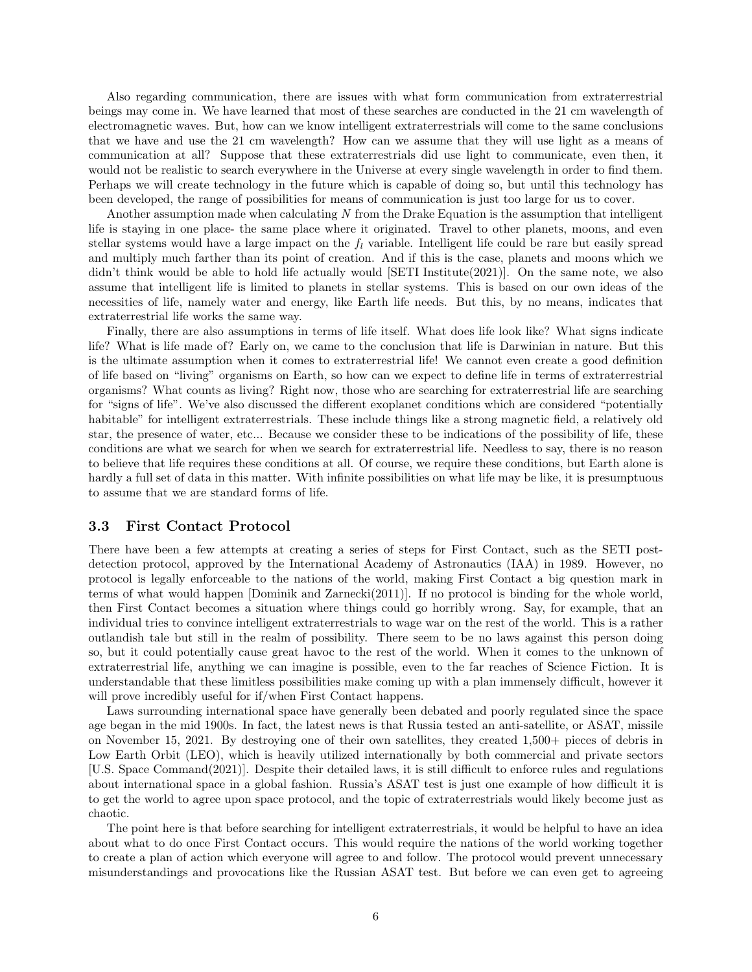Also regarding communication, there are issues with what form communication from extraterrestrial beings may come in. We have learned that most of these searches are conducted in the 21 cm wavelength of electromagnetic waves. But, how can we know intelligent extraterrestrials will come to the same conclusions that we have and use the 21 cm wavelength? How can we assume that they will use light as a means of communication at all? Suppose that these extraterrestrials did use light to communicate, even then, it would not be realistic to search everywhere in the Universe at every single wavelength in order to find them. Perhaps we will create technology in the future which is capable of doing so, but until this technology has been developed, the range of possibilities for means of communication is just too large for us to cover.

Another assumption made when calculating N from the Drake Equation is the assumption that intelligent life is staying in one place- the same place where it originated. Travel to other planets, moons, and even stellar systems would have a large impact on the  $f_l$  variable. Intelligent life could be rare but easily spread and multiply much farther than its point of creation. And if this is the case, planets and moons which we didn't think would be able to hold life actually would [SETI Institute(2021)]. On the same note, we also assume that intelligent life is limited to planets in stellar systems. This is based on our own ideas of the necessities of life, namely water and energy, like Earth life needs. But this, by no means, indicates that extraterrestrial life works the same way.

Finally, there are also assumptions in terms of life itself. What does life look like? What signs indicate life? What is life made of? Early on, we came to the conclusion that life is Darwinian in nature. But this is the ultimate assumption when it comes to extraterrestrial life! We cannot even create a good definition of life based on "living" organisms on Earth, so how can we expect to define life in terms of extraterrestrial organisms? What counts as living? Right now, those who are searching for extraterrestrial life are searching for "signs of life". We've also discussed the different exoplanet conditions which are considered "potentially habitable" for intelligent extraterrestrials. These include things like a strong magnetic field, a relatively old star, the presence of water, etc... Because we consider these to be indications of the possibility of life, these conditions are what we search for when we search for extraterrestrial life. Needless to say, there is no reason to believe that life requires these conditions at all. Of course, we require these conditions, but Earth alone is hardly a full set of data in this matter. With infinite possibilities on what life may be like, it is presumptuous to assume that we are standard forms of life.

#### 3.3 First Contact Protocol

There have been a few attempts at creating a series of steps for First Contact, such as the SETI postdetection protocol, approved by the International Academy of Astronautics (IAA) in 1989. However, no protocol is legally enforceable to the nations of the world, making First Contact a big question mark in terms of what would happen [Dominik and Zarnecki(2011)]. If no protocol is binding for the whole world, then First Contact becomes a situation where things could go horribly wrong. Say, for example, that an individual tries to convince intelligent extraterrestrials to wage war on the rest of the world. This is a rather outlandish tale but still in the realm of possibility. There seem to be no laws against this person doing so, but it could potentially cause great havoc to the rest of the world. When it comes to the unknown of extraterrestrial life, anything we can imagine is possible, even to the far reaches of Science Fiction. It is understandable that these limitless possibilities make coming up with a plan immensely difficult, however it will prove incredibly useful for if/when First Contact happens.

Laws surrounding international space have generally been debated and poorly regulated since the space age began in the mid 1900s. In fact, the latest news is that Russia tested an anti-satellite, or ASAT, missile on November 15, 2021. By destroying one of their own satellites, they created 1,500+ pieces of debris in Low Earth Orbit (LEO), which is heavily utilized internationally by both commercial and private sectors [U.S. Space Command(2021)]. Despite their detailed laws, it is still difficult to enforce rules and regulations about international space in a global fashion. Russia's ASAT test is just one example of how difficult it is to get the world to agree upon space protocol, and the topic of extraterrestrials would likely become just as chaotic.

The point here is that before searching for intelligent extraterrestrials, it would be helpful to have an idea about what to do once First Contact occurs. This would require the nations of the world working together to create a plan of action which everyone will agree to and follow. The protocol would prevent unnecessary misunderstandings and provocations like the Russian ASAT test. But before we can even get to agreeing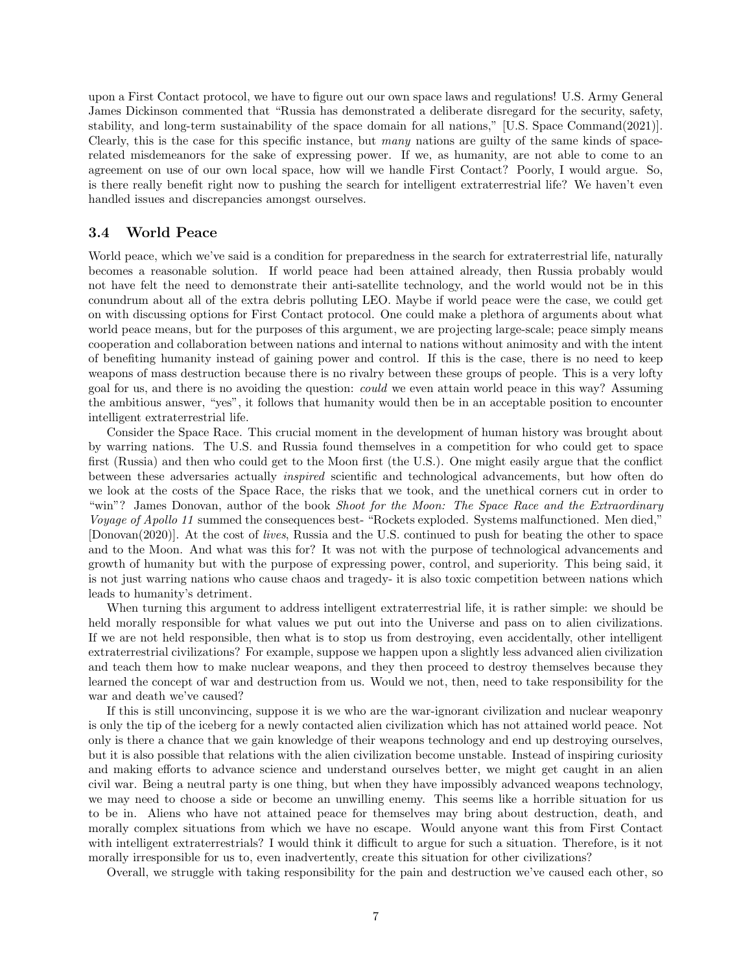upon a First Contact protocol, we have to figure out our own space laws and regulations! U.S. Army General James Dickinson commented that "Russia has demonstrated a deliberate disregard for the security, safety, stability, and long-term sustainability of the space domain for all nations," [U.S. Space Command(2021)]. Clearly, this is the case for this specific instance, but many nations are guilty of the same kinds of spacerelated misdemeanors for the sake of expressing power. If we, as humanity, are not able to come to an agreement on use of our own local space, how will we handle First Contact? Poorly, I would argue. So, is there really benefit right now to pushing the search for intelligent extraterrestrial life? We haven't even handled issues and discrepancies amongst ourselves.

#### 3.4 World Peace

World peace, which we've said is a condition for preparedness in the search for extraterrestrial life, naturally becomes a reasonable solution. If world peace had been attained already, then Russia probably would not have felt the need to demonstrate their anti-satellite technology, and the world would not be in this conundrum about all of the extra debris polluting LEO. Maybe if world peace were the case, we could get on with discussing options for First Contact protocol. One could make a plethora of arguments about what world peace means, but for the purposes of this argument, we are projecting large-scale; peace simply means cooperation and collaboration between nations and internal to nations without animosity and with the intent of benefiting humanity instead of gaining power and control. If this is the case, there is no need to keep weapons of mass destruction because there is no rivalry between these groups of people. This is a very lofty goal for us, and there is no avoiding the question: could we even attain world peace in this way? Assuming the ambitious answer, "yes", it follows that humanity would then be in an acceptable position to encounter intelligent extraterrestrial life.

Consider the Space Race. This crucial moment in the development of human history was brought about by warring nations. The U.S. and Russia found themselves in a competition for who could get to space first (Russia) and then who could get to the Moon first (the U.S.). One might easily argue that the conflict between these adversaries actually inspired scientific and technological advancements, but how often do we look at the costs of the Space Race, the risks that we took, and the unethical corners cut in order to "win"? James Donovan, author of the book Shoot for the Moon: The Space Race and the Extraordinary Voyage of Apollo 11 summed the consequences best- "Rockets exploded. Systems malfunctioned. Men died," [Donovan(2020)]. At the cost of lives, Russia and the U.S. continued to push for beating the other to space and to the Moon. And what was this for? It was not with the purpose of technological advancements and growth of humanity but with the purpose of expressing power, control, and superiority. This being said, it is not just warring nations who cause chaos and tragedy- it is also toxic competition between nations which leads to humanity's detriment.

When turning this argument to address intelligent extraterrestrial life, it is rather simple: we should be held morally responsible for what values we put out into the Universe and pass on to alien civilizations. If we are not held responsible, then what is to stop us from destroying, even accidentally, other intelligent extraterrestrial civilizations? For example, suppose we happen upon a slightly less advanced alien civilization and teach them how to make nuclear weapons, and they then proceed to destroy themselves because they learned the concept of war and destruction from us. Would we not, then, need to take responsibility for the war and death we've caused?

If this is still unconvincing, suppose it is we who are the war-ignorant civilization and nuclear weaponry is only the tip of the iceberg for a newly contacted alien civilization which has not attained world peace. Not only is there a chance that we gain knowledge of their weapons technology and end up destroying ourselves, but it is also possible that relations with the alien civilization become unstable. Instead of inspiring curiosity and making efforts to advance science and understand ourselves better, we might get caught in an alien civil war. Being a neutral party is one thing, but when they have impossibly advanced weapons technology, we may need to choose a side or become an unwilling enemy. This seems like a horrible situation for us to be in. Aliens who have not attained peace for themselves may bring about destruction, death, and morally complex situations from which we have no escape. Would anyone want this from First Contact with intelligent extraterrestrials? I would think it difficult to argue for such a situation. Therefore, is it not morally irresponsible for us to, even inadvertently, create this situation for other civilizations?

Overall, we struggle with taking responsibility for the pain and destruction we've caused each other, so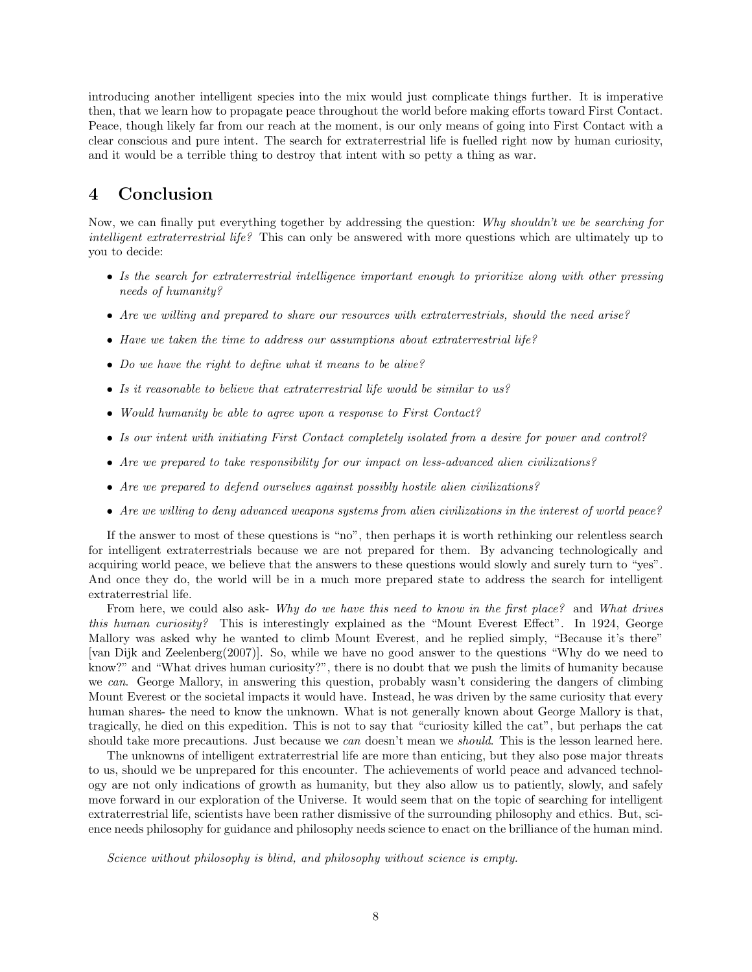introducing another intelligent species into the mix would just complicate things further. It is imperative then, that we learn how to propagate peace throughout the world before making efforts toward First Contact. Peace, though likely far from our reach at the moment, is our only means of going into First Contact with a clear conscious and pure intent. The search for extraterrestrial life is fuelled right now by human curiosity, and it would be a terrible thing to destroy that intent with so petty a thing as war.

# 4 Conclusion

Now, we can finally put everything together by addressing the question: Why shouldn't we be searching for intelligent extraterrestrial life? This can only be answered with more questions which are ultimately up to you to decide:

- Is the search for extraterrestrial intelligence important enough to prioritize along with other pressing needs of humanity?
- Are we willing and prepared to share our resources with extraterrestrials, should the need arise?
- Have we taken the time to address our assumptions about extraterrestrial life?
- Do we have the right to define what it means to be alive?
- Is it reasonable to believe that extraterrestrial life would be similar to us?
- Would humanity be able to agree upon a response to First Contact?
- Is our intent with initiating First Contact completely isolated from a desire for power and control?
- Are we prepared to take responsibility for our impact on less-advanced alien civilizations?
- Are we prepared to defend ourselves against possibly hostile alien civilizations?
- Are we willing to deny advanced weapons systems from alien civilizations in the interest of world peace?

If the answer to most of these questions is "no", then perhaps it is worth rethinking our relentless search for intelligent extraterrestrials because we are not prepared for them. By advancing technologically and acquiring world peace, we believe that the answers to these questions would slowly and surely turn to "yes". And once they do, the world will be in a much more prepared state to address the search for intelligent extraterrestrial life.

From here, we could also ask- Why do we have this need to know in the first place? and What drives this human curiosity? This is interestingly explained as the "Mount Everest Effect". In 1924, George Mallory was asked why he wanted to climb Mount Everest, and he replied simply, "Because it's there" [van Dijk and Zeelenberg(2007)]. So, while we have no good answer to the questions "Why do we need to know?" and "What drives human curiosity?", there is no doubt that we push the limits of humanity because we can. George Mallory, in answering this question, probably wasn't considering the dangers of climbing Mount Everest or the societal impacts it would have. Instead, he was driven by the same curiosity that every human shares- the need to know the unknown. What is not generally known about George Mallory is that, tragically, he died on this expedition. This is not to say that "curiosity killed the cat", but perhaps the cat should take more precautions. Just because we *can* doesn't mean we *should*. This is the lesson learned here.

The unknowns of intelligent extraterrestrial life are more than enticing, but they also pose major threats to us, should we be unprepared for this encounter. The achievements of world peace and advanced technology are not only indications of growth as humanity, but they also allow us to patiently, slowly, and safely move forward in our exploration of the Universe. It would seem that on the topic of searching for intelligent extraterrestrial life, scientists have been rather dismissive of the surrounding philosophy and ethics. But, science needs philosophy for guidance and philosophy needs science to enact on the brilliance of the human mind.

Science without philosophy is blind, and philosophy without science is empty.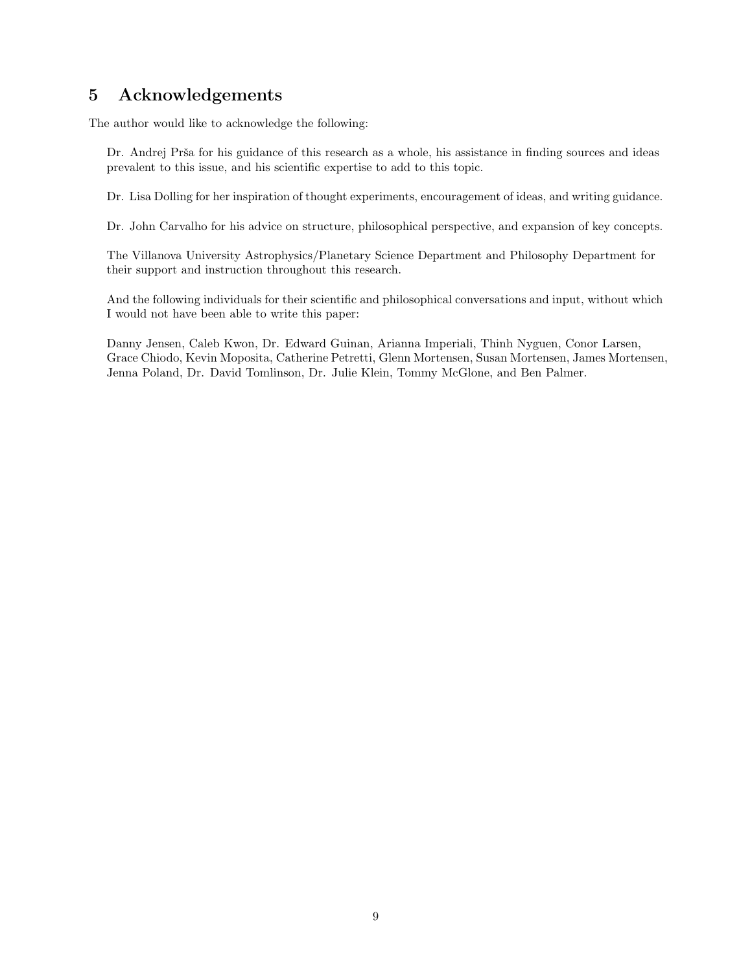# 5 Acknowledgements

The author would like to acknowledge the following:

Dr. Andrej Prša for his guidance of this research as a whole, his assistance in finding sources and ideas prevalent to this issue, and his scientific expertise to add to this topic.

Dr. Lisa Dolling for her inspiration of thought experiments, encouragement of ideas, and writing guidance.

Dr. John Carvalho for his advice on structure, philosophical perspective, and expansion of key concepts.

The Villanova University Astrophysics/Planetary Science Department and Philosophy Department for their support and instruction throughout this research.

And the following individuals for their scientific and philosophical conversations and input, without which I would not have been able to write this paper:

Danny Jensen, Caleb Kwon, Dr. Edward Guinan, Arianna Imperiali, Thinh Nyguen, Conor Larsen, Grace Chiodo, Kevin Moposita, Catherine Petretti, Glenn Mortensen, Susan Mortensen, James Mortensen, Jenna Poland, Dr. David Tomlinson, Dr. Julie Klein, Tommy McGlone, and Ben Palmer.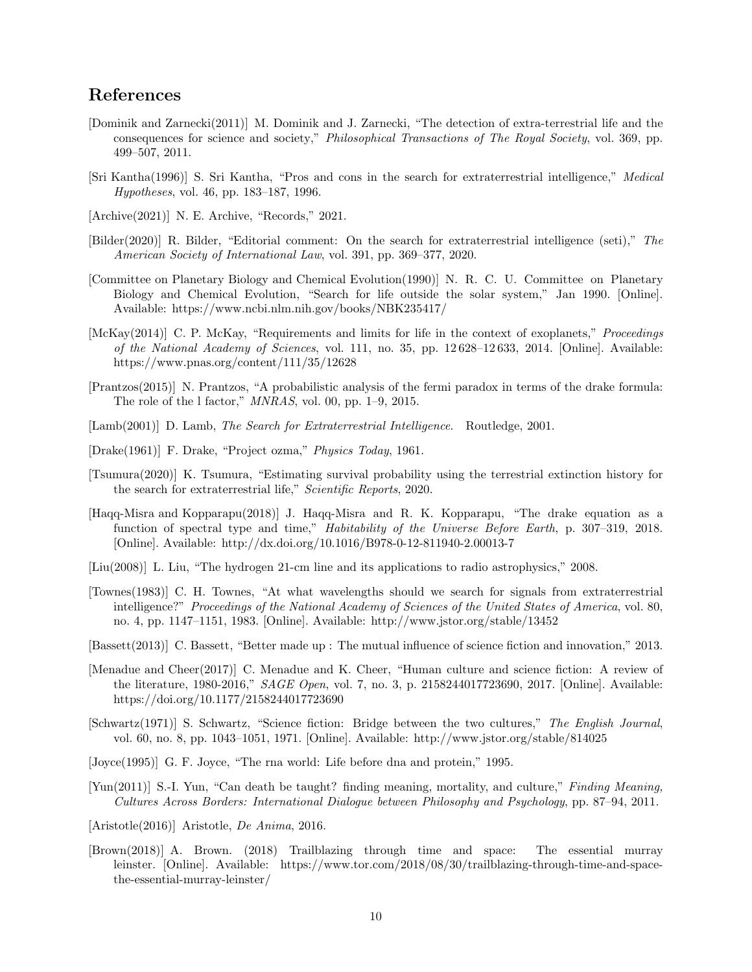## References

- [Dominik and Zarnecki(2011)] M. Dominik and J. Zarnecki, "The detection of extra-terrestrial life and the consequences for science and society," Philosophical Transactions of The Royal Society, vol. 369, pp. 499–507, 2011.
- [Sri Kantha(1996)] S. Sri Kantha, "Pros and cons in the search for extraterrestrial intelligence," Medical Hypotheses, vol. 46, pp. 183–187, 1996.
- [Archive(2021)] N. E. Archive, "Records," 2021.
- [Bilder(2020)] R. Bilder, "Editorial comment: On the search for extraterrestrial intelligence (seti)," The American Society of International Law, vol. 391, pp. 369–377, 2020.
- [Committee on Planetary Biology and Chemical Evolution(1990)] N. R. C. U. Committee on Planetary Biology and Chemical Evolution, "Search for life outside the solar system," Jan 1990. [Online]. Available: https://www.ncbi.nlm.nih.gov/books/NBK235417/
- [McKay(2014)] C. P. McKay, "Requirements and limits for life in the context of exoplanets," Proceedings of the National Academy of Sciences, vol. 111, no. 35, pp. 12 628–12 633, 2014. [Online]. Available: https://www.pnas.org/content/111/35/12628
- [Prantzos(2015)] N. Prantzos, "A probabilistic analysis of the fermi paradox in terms of the drake formula: The role of the l factor," MNRAS, vol. 00, pp. 1–9, 2015.
- [Lamb(2001)] D. Lamb, The Search for Extraterrestrial Intelligence. Routledge, 2001.
- [Drake(1961)] F. Drake, "Project ozma," Physics Today, 1961.
- [Tsumura(2020)] K. Tsumura, "Estimating survival probability using the terrestrial extinction history for the search for extraterrestrial life," Scientific Reports, 2020.
- [Haqq-Misra and Kopparapu(2018)] J. Haqq-Misra and R. K. Kopparapu, "The drake equation as a function of spectral type and time," Habitability of the Universe Before Earth, p. 307–319, 2018. [Online]. Available: http://dx.doi.org/10.1016/B978-0-12-811940-2.00013-7
- [Liu(2008)] L. Liu, "The hydrogen 21-cm line and its applications to radio astrophysics," 2008.
- [Townes(1983)] C. H. Townes, "At what wavelengths should we search for signals from extraterrestrial intelligence?" Proceedings of the National Academy of Sciences of the United States of America, vol. 80, no. 4, pp. 1147–1151, 1983. [Online]. Available: http://www.jstor.org/stable/13452
- [Bassett(2013)] C. Bassett, "Better made up : The mutual influence of science fiction and innovation," 2013.
- [Menadue and Cheer(2017)] C. Menadue and K. Cheer, "Human culture and science fiction: A review of the literature, 1980-2016," SAGE Open, vol. 7, no. 3, p. 2158244017723690, 2017. [Online]. Available: https://doi.org/10.1177/2158244017723690
- [Schwartz(1971)] S. Schwartz, "Science fiction: Bridge between the two cultures," The English Journal, vol. 60, no. 8, pp. 1043–1051, 1971. [Online]. Available: http://www.jstor.org/stable/814025
- [Joyce(1995)] G. F. Joyce, "The rna world: Life before dna and protein," 1995.
- [Yun(2011)] S.-I. Yun, "Can death be taught? finding meaning, mortality, and culture," Finding Meaning, Cultures Across Borders: International Dialogue between Philosophy and Psychology, pp. 87–94, 2011.
- [Aristotle(2016)] Aristotle, De Anima, 2016.
- [Brown(2018)] A. Brown. (2018) Trailblazing through time and space: The essential murray leinster. [Online]. Available: https://www.tor.com/2018/08/30/trailblazing-through-time-and-spacethe-essential-murray-leinster/